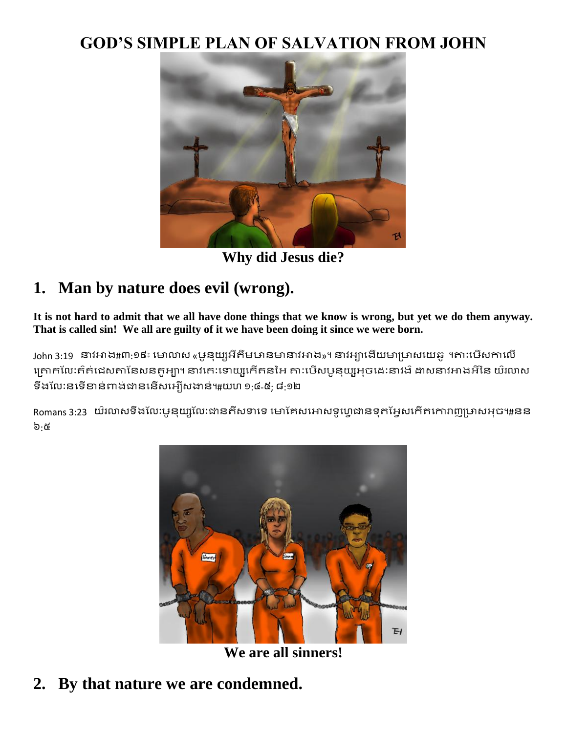#### **GOD'S SIMPLE PLAN OF SALVATION FROM JOHN**



**Why did Jesus die?**

### **1. Man by nature does evil (wrong).**

**It is not hard to admit that we all have done things that we know is wrong, but yet we do them anyway. That is called sin! We all are guilty of it we have been doing it since we were born.**

John 3:19 នាវអាង#៣:១៩៖ មោលាស «បូនុយ្យអីតឹមឞានមានាវអាង»។ នាវអ្យាងើយមាប្រាសយេឆ្នូ ។តា:បើសកាលើ គ្រោកលែ:ឥត់ដេសតានៃសនតូអា្ចា។ នាវគេ:ទោយ្យកើតនអៃ តា:បើសបូនុយ្យអុចដេ:នាវង៌ ដាសនាវអាងអីនៃ យ៌រលាស ទឹងលែ:នទើខាន់ពាង់ជាននើសអ្បើសងាន់៕យហ ១:៤-៥; ៨:១២

Romans 3:23 យ៌រលាសទឹងលែ:ឞូនុយ្សលេះងានតីសទាទេ មោគែសអោសទូហ្វេដានទុតអ្វែសកើតកោរាញូប្រាសអុច៕#នន ៦:៥



**We are all sinners!**

### **2. By that nature we are condemned.**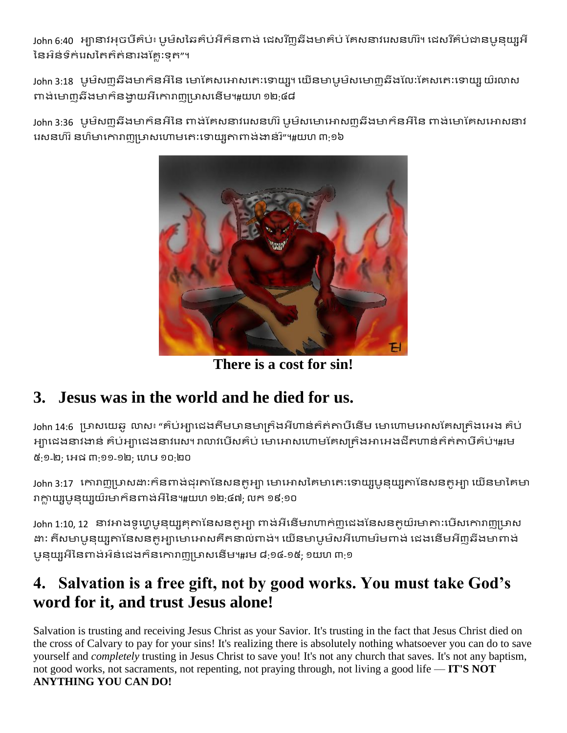John 6:40 អ្បានាវអុចឞឹឝ៌ប់៖ ឞូម៝សឆៃឝ៌ប់អីក៌នពាង់ ជេសរីញឆីងមាឝ៌ប់ គែសនាវរេសនហ៌រំ។ ដេសរីឝ៌ប់ជានឞូនុយ្សអី នៃអ៌ន់ទឹក់រេសតៃត៌ត់នារងគ្លែ:ទុត"។

John 3:18 ឞូម៌សញ្ជឆឺងមាក៌នអីនៃ មោគែសអោសគេ:ទោយ្យ។ យើនមាឞូម៌សមោ៣ឆីងលៃ:គែសគេ:ទោយ្យ យ៌រលាស ពាង់មោញឆីងមាក៌នងាយអឺកោរាញម្រាសនើម។#យហ ១២:៤៨

John 3:36 ឞូម៝ស៣ុឆីងមាក៌នអីនៃ ពាង់គែសនាវរេសនហ៊រ ឞូម៌សមោអោស៣ុឆីងមាក៌នអីនៃ ពាង់មោគែសអោសនាវ រេសនហ៊រ នហ៌មាកោរាញូប្រាសហោមកេ:ទោយ្យតាពាង់ងាន់រិ"។#យហ ៣:១៦



**There is a cost for sin!**

## **3. Jesus was in the world and he died for us.**

John 14:6 ប្រាសយេឆូ លាស៖ "គ៌ប់អ្យាជេងតឹមឞានមាត្រ៌ងអីហាន់ត៌ត់តាឞឺនើម មោហោមអោសគែស្យុត៌ងអេង គ៌ប់ អ្បាជេងនាវងាន់ គ៌ប់អ្បាជេងនាវរេស។ រាលាវបើសគ៌ប់ មោអោសហោមគែសគ្រឹងអាអេងជីតហាន់ត៌ត់តាបីគំប់៕រម ៥:១-២; អេដ ៣:១១-១២; ហេឞ ១០:២០

John 3:17 កោរាញូប្រាសដា:ក៌នពាង់ដុរតានែសនតូអ្យា មោអោសគៃមាតេ:ទោយ្យបួនុយ្យតានៃសនតូអ្យា យើនមាគៃមា រាក្លាយ្យបួនុយ្យយ៉ាមាក៌នពាង់អីនៃ។#យហ ១២:៤៧; លក ១៩:១០

John 1:10, 12 នាវអាងទូហ្វេមុនយ្យគុតានែសនតូអ្យា ពាង់អីនើមរាហាក់ញុដេងនៃសនតូយ៌រមាតា:បើសកោរាញូប្រាស ដា: តីសមាបូនុយ្យតានៃសនតូអាមោអោសគឺតនាល់ពាង់។ យើនមាបូម៌សអីហោមរ៌មពាង់ ដេងនើមអីញ្ញូឆីងមាពាង់ មូនុយ្សអីនៃពាង់អ៌ន់ជេងក៌នកោរាញម្រាសនើម។#រម ៨:១៤-១៥; ១យហ ៣:១

### **4. Salvation is a free gift, not by good works. You must take God's word for it, and trust Jesus alone!**

Salvation is trusting and receiving Jesus Christ as your Savior. It's trusting in the fact that Jesus Christ died on the cross of Calvary to pay for your sins! It's realizing there is absolutely nothing whatsoever you can do to save yourself and *completely* trusting in Jesus Christ to save you! It's not any church that saves. It's not any baptism, not good works, not sacraments, not repenting, not praying through, not living a good life — **IT'S NOT ANYTHING YOU CAN DO!**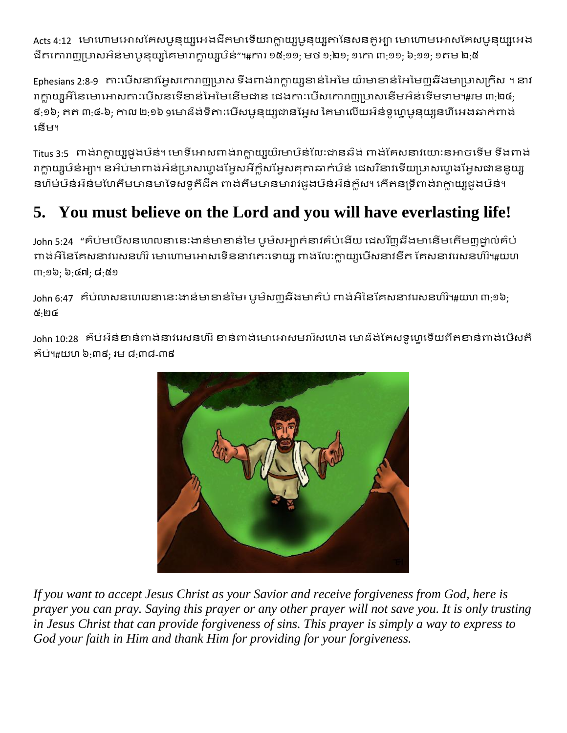Acts 4:12 មោហោមអោសឝែសឞូនុយ្សអេងជីតមាទើយរាក្លាយ្យបូនុយ្យតានៃសនតូអ្យា មោហោមអោសឝែសឞូនុយ្យអេង ជីតកោរាញ្ញម្រាសអ៌ន់មាបូនុយ្សគៃមារាក្លាយ្សឞ៌ន់"៕ការ ១៥:១១; មថ ១:២១; ១កោ ៣:១១; ៦:១១; ១តម ២:៥

Ephesians 2:8-9 តា:បើសនាវអែ្អសកោរាញូប្រាស ទឹងពាង់រាក្លាយ្សខាន់អៃមៃ យ៌រមាខាន់អៃមៃញុឆ៌ងមាប្រាសក្រីស ។ នាវ រាក្លាយ្សអីនៃមោអោសតា:បើសនទើខាន់អៃមៃនើមជាន ជេងតា:បើសគោរាញហ្រសនើមអ៌ន់ទើមទាម៕#រម ៣:២៤; ៩:១៦; តត ៣:៤-៦; កាល ២:១៦ ១មោដ៌ង់ទីតា:បើសឞូនយ្បូជានអែស គៃមាលើយអ៌ន់ទូហេឞូនយ្សនហីអេងឆាក់ពាង់ មនើម។

Titus 3:5 ពាង់រាក្លាយ្យផូងឞ៌ន់។ មោទីអោសពាង់រាក្លាយ្យយ៌មោឞ៌ន់លែ:ជានឆ៌ង់ ពាង់គែសនាវយោ:នអាចទើម ទឹងពាង់ រាក្លាយ្សឞ៌ន់អាូ។ នអ៌ប់មាពាង់អ៌ន់ប្រាសហេងអែុសអីក្លិសអែុសគុតាឆាក់ឞ៌ន់ ដេសរីនាវទើយប្រាសហេងអែុសជាននួយ្ស នហ៌ម់ឞ៝ន់អ៝ន់មហែតឹមឞានមាទែសទតឹជីត ពាង់តឹមឞានមារាវផងឞ៝ន់អ៌ន់ក្លស។ កើតនទ្រីពាង់រាក្លាយ្យផងឞ៝ន់។

# **5. You must believe on the Lord and you will have everlasting life!**

John 5:24 "គ៌ប់មបើសនហេលនានេះងាន់មាខាន់មៃ បូម៌សអា្តាត់នាវគ៌ប់ងើយ ដេសរីញូឆីងមានើមតើមញ្ញដ្ឋាល់គ៌ប់ ពាង់អីនៃគេសនាវរេសនហ៊រ មោហោមអោសទើននាវកេ:ទោយ្ស ពាង់លែ:ក្លាយ្សបើសនាវខឹត គែសនាវរេសនហ៌រ។#យហ ៣:១៦; ៦:៤៧; ៨:៥១

John 6:47 គ៌ប់លាសនហេលនានេះងាន់មាខាន់មៃ៖ ឞូម៌សញ្ជឆឹងមាគ៌ប់ ពាង់អីនៃគែសនាវរេសនហ៌វិ។#យហ ៣:១៦; ៥:២៤

John 10:28 គ៌ប់អ៌ន់ខាន់ពាង់នាវរេសនហ៌រំ ខាន់ពាង់មោអោសមរារិសហេង មោដ៏ង់គែសទូហ្វេទើយពីតខាន់ពាង់បើសតី ែ៝ប់។#យ្ហ ៦:៣៩; រម ៨:៣៨-៣៩



*If you want to accept Jesus Christ as your Savior and receive forgiveness from God, here is prayer you can pray. Saying this prayer or any other prayer will not save you. It is only trusting in Jesus Christ that can provide forgiveness of sins. This prayer is simply a way to express to God your faith in Him and thank Him for providing for your forgiveness.*